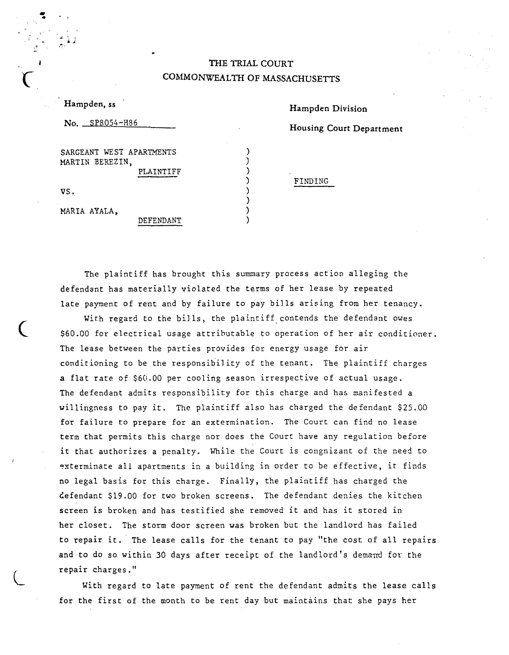## THE TRIAL COURT COMMONWEALTH OF MASSACHUSETTS

) ) ) ) ) ) ) )

| Hampden, ss                                              |
|----------------------------------------------------------|
| $\rm{No.}$ $\rm SPS054-H86$                              |
| SARGEANT WEST APARTMENTS<br>MARTIN BEREZIN,<br>PLAINTIFF |
| VS.                                                      |
| MARIA AYALA.                                             |

DEFENDANT

 $\big($ 

,. 4

 $\left(\right)$ 

Hampden Division

Housing Court Department

FINDING

The plaintiff has brought this summary process action alleging the defendant has materially violated the terms of her lease by repeated late payment of rent and by failure to pay bills arising from her tenancy.

With regard to the bills, the plaintiff contends the defendant owes \$60.00 for electrical usage attributable to operation of her air conditioner. The lease between the parties provides for energy usage for air conditioning to be the responsibility of the tenant. The plaintiff charges a flat rate of \$60.00 per cooling season irrespective of actual usage. The defendant admits responsibility for this charge and has manifested a willingness to pay it. The plaintiff also has charged the defendant \$25.00 for failure to prepare for an extermination. The Court can find no lease term that permits this charge nor does the Court have any regulation before it that authorizes a penalty. While the Court is congnizant of the need to ~xterminate all apartments in a building in order to be effective, it finds no legal basis for this charge. Finally, the plaintiff has charged the defendant \$19.00 for two broken screens. The defendant denies the kitchen screen is broken and has testified she removed it and has it stored in her closet. The storm door screen was broken but the landlord has failed to repair it. The lease calls for the tenant to pay "the cost of all repairs and to do so within 30 days after receipt of the landlord's demand for the repair charges."

With regard to late payment of rent the defendant admits the lease calls for the first of the month to be rent day but maintains that she pays her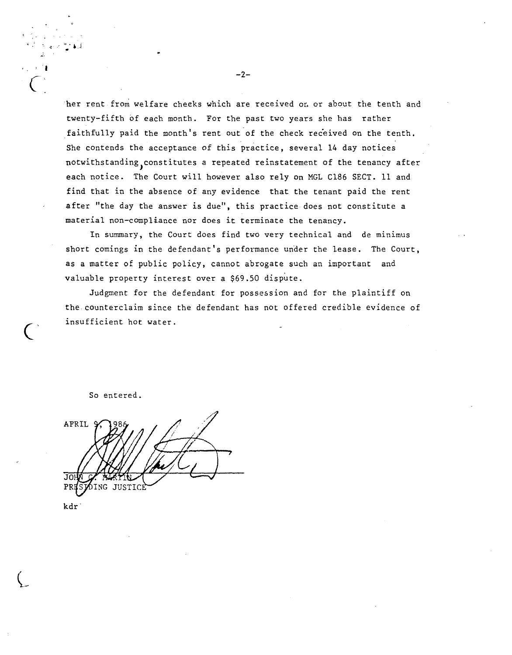her rent from welfare cheeks which are received on or about the tenth and twenty-fifth of each month. For the past two years she has rather .faithfully paid the month's rent out of the check received on the tenth. She contends the acceptance of this practice, several 14 day notices notwithstanding,constitutes a repeated reinstatement of the tenancy after each notice. The Court will however also rely On MGL C186 SECT. 11 and find that in the absence of any evidence that the tenant paid the rent after "the day the answer is due", this practice does not constitute a material non-compliance nor does it terminate the tenancy.

In summary, the Court does find two very technical and de minimus short comings in the defendant's performance under the lease. The Court, as a matter of public policy, cannot abrogate such an important and valuable property interest over a \$69.50 dispute.

Judgment for the defendant for possession and for the plaintiff on the counterclaim since the defendant has not offered credible evidence of insufficient hot water.

So entered.

APRIL JO NG JUSTICÈ PR

I

• .• j

 $\overline{\mathsf{C}}$  .

**C'** 

**-2-**